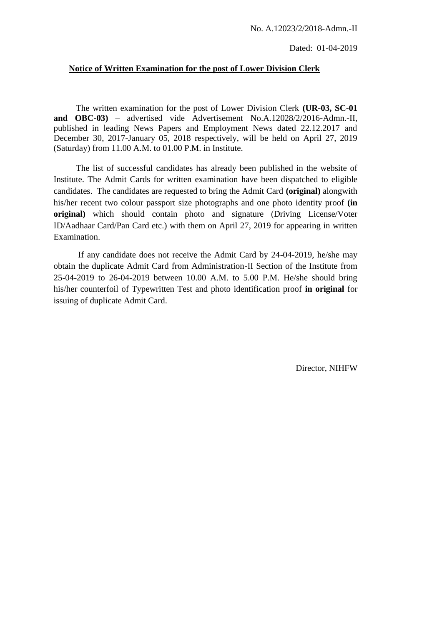# **Notice of Written Examination for the post of Lower Division Clerk**

The written examination for the post of Lower Division Clerk **(UR-03, SC-01 and OBC-03)** – advertised vide Advertisement No.A.12028/2/2016-Admn.-II, published in leading News Papers and Employment News dated 22.12.2017 and December 30, 2017-January 05, 2018 respectively, will be held on April 27, 2019 (Saturday) from 11.00 A.M. to 01.00 P.M. in Institute.

The list of successful candidates has already been published in the website of Institute. The Admit Cards for written examination have been dispatched to eligible candidates. The candidates are requested to bring the Admit Card **(original)** alongwith his/her recent two colour passport size photographs and one photo identity proof **(in original)** which should contain photo and signature (Driving License/Voter ID/Aadhaar Card/Pan Card etc.) with them on April 27, 2019 for appearing in written Examination.

If any candidate does not receive the Admit Card by 24-04-2019, he/she may obtain the duplicate Admit Card from Administration-II Section of the Institute from 25-04-2019 to 26-04-2019 between 10.00 A.M. to 5.00 P.M. He/she should bring his/her counterfoil of Typewritten Test and photo identification proof **in original** for issuing of duplicate Admit Card.

Director, NIHFW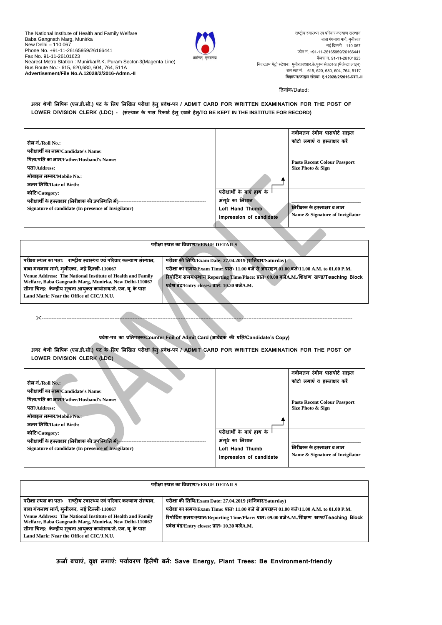The National Institute of Health and Family Welfare Baba Gangnath Marg, Munirka New Delhi – 110 067 Phone No. +91-11-26165959/26166441 Fax No. 91-11-26101623 Nearest Metro Station : Munirka/R.K. Puram Sector-3(Magenta Line) Bus Route No.:- 615, 620,680, 604, 764, 511A **Advertisement/File No.A.12028/2/2016-Admn.-II** 



राष्ट्रीय स्वास्थ्य एवं परिवार कल्याण संस्थान बाबा गंगनाथ मार्ग, मुनीरका नई ददल्ली– 110 067 फोन नं. +91-11-26165959/26166441 फैक्स नं. 91-11-26101623 दनकटतम मेरो स्टेशनः मनुीरका/आर.के.पुरम सेक्टर-3 (मैजेन्टा लाइन) बस रूट नं. – 615, 620, 680, 604, 764, 511ए **विज्ञापन/फाइल सखं ्ााः ए.12028/2/2016-प्रशा.-II**

#### दिनांक/Dated:

अवर श्रेणी लिपिक (एल.डी.सी.) पद के लिए लिखित परीक्षा हेतु प्रवेश-पत्र / ADMIT CARD FOR WRITTEN EXAMINATION FOR THE POST OF **LOWER DIVISION CLERK (LDC) - (संस्थान के िास ररकाडड हेतुरिने हेत/ुTO BE KEPT IN THE INSTITUTE FOR RECORD)**

|                                                     |                            | नवीनतम रंगीन पासपोर्ट साइज          |
|-----------------------------------------------------|----------------------------|-------------------------------------|
| रोल नं./Roll No.:                                   |                            | फोटो लगाएं व हस्ताक्षर करें         |
| परीक्षार्थी का नाम/Candidate's Name:                |                            |                                     |
| पिता/पति का नाम/Father/Husband's Name:              |                            | <b>Paste Recent Colour Passport</b> |
| पता/Address:                                        |                            | Size Photo & Sign                   |
| मोबाइल नम्बर/Mobile No.:                            |                            |                                     |
| जन्म तिथि/Date of Birth:                            |                            |                                     |
| कोटि/Category:                                      | परीक्षार्थी के बाएं हाथ के |                                     |
|                                                     | अंगठे का निशान             |                                     |
| Signature of candidate (In presence of Invigilator) | <b>Left Hand Thumb</b>     | निरीक्षक के हस्ताक्षर व नाम         |
|                                                     | Impression of candidate    | Name & Signature of Invigilator     |
|                                                     |                            |                                     |
|                                                     |                            |                                     |

| परीक्षा स्थल का विवरण/VENUE DETAILS                                                                                                                                                                                                                                                  |                                                                                                                                                                                                                                          |  |
|--------------------------------------------------------------------------------------------------------------------------------------------------------------------------------------------------------------------------------------------------------------------------------------|------------------------------------------------------------------------------------------------------------------------------------------------------------------------------------------------------------------------------------------|--|
| परीक्षा स्थल का पताः   राष्ट्रीय स्वास्थ्य एवं परिवार कल्याण संस्थान,                                                                                                                                                                                                                | परीक्षा की तिथि/Exam Date: 27.04.2019 (शनिवार/Saturday)                                                                                                                                                                                  |  |
| बाबा गंगनाथ मार्ग, मुनीरका,  नई दिल्ली-110067<br>Venue Address: The National Institute of Health and Family<br>Welfare, Baba Gangnath Marg, Munirka, New Delhi-110067<br>सीमा चिन्हः  केन्द्रीय सूचना आयुक्त कार्यालय/जे. एन. यृ. के पास<br>Land Mark: Near the Office of CIC/J.N.U. | परीक्षा का समय/Exam Time: प्रातः 11.00 बजे से अपराहन 01.00 बजे/11.00 A.M. to 01.00 P.M.<br>रिपोर्टिंग समय/स्थान Reporting Time/Place: प्रातः 09.00 बजेA.M./शिक्षण  खण्ड/Teaching  Block<br>प्रवेश बंद/Entry closes: प्रातः 10.30 बजेA.M. |  |

## **प्रवेश-ित्र का प्रततित्रक/Counter Foil of Admit Card (आवेदक की प्रतत/Candidate's Copy)**

--------------------------------------------------------------------------------------------------------------------------------------------------------------------------------------------

अवर श्रेणी लिपिक (एल.डी.सी.) पद के लिए लिखित परीक्षा हेतु प्रवेश-पत्र / ADMIT CARD FOR WRITTEN EXAMINATION FOR THE POST OF **LOWER DIVISION CLERK (LDC)** 

| रोल नं./Roll No.:                                       | नवीनतम रंगीन पासपोर्ट साइज<br>फोटो लगाएं व हस्ताक्षर करें  |
|---------------------------------------------------------|------------------------------------------------------------|
| परीक्षार्थी का नाम/Candidate's Name:                    |                                                            |
| पिता/पति का नाम/Father/Husband's Name:                  | <b>Paste Recent Colour Passport</b>                        |
| पता/Address:                                            | Size Photo & Sign                                          |
| मोबाइल नम्बर/Mobile No.:-                               |                                                            |
| जन्म तिथि/Date of Birth:                                |                                                            |
| कोटि/Category:                                          | परीक्षार्थी के बाएं हाथ के                                 |
| परीक्षार्थी के हस्ताक्षर (निरीक्षक की उपस्थिति में)---- | अंगठे का निशान                                             |
| Signature of candidate (In presence of Invigilator)     | निरीक्षक के हस्ताक्षर व नाम<br><b>Left Hand Thumb</b>      |
|                                                         | Name & Signature of Invigilator<br>Impression of candidate |
|                                                         |                                                            |

| परीक्षा स्थल का विवरण/VENUE DETAILS                                                                                                                                                                                                                                                                                                                         |                                                                                                                                                                                                                                                                                                   |  |
|-------------------------------------------------------------------------------------------------------------------------------------------------------------------------------------------------------------------------------------------------------------------------------------------------------------------------------------------------------------|---------------------------------------------------------------------------------------------------------------------------------------------------------------------------------------------------------------------------------------------------------------------------------------------------|--|
| परीक्षा स्थल का पताः   राष्टीय स्वास्थ्य एवं परिवार कल्याण संस्थान.<br>बाबा गंगनाथ मार्ग, मुनीरका,  नई दिल्ली-110067<br>Venue Address: The National Institute of Health and Family<br>Welfare, Baba Gangnath Marg, Munirka, New Delhi-110067<br>सीमा चिन्हः  केन्द्रीय सूचना आयुक्त कार्यालय/जे. एन. यू. के पास<br>Land Mark: Near the Office of CIC/J.N.U. | परीक्षा की तिथि/Exam Date: 27.04.2019 (शनिवार/Saturday)<br>परीक्षा का समय/Exam Time: प्रातः 11.00 बजे से अपराहन 01.00 बजे/11.00 A.M. to 01.00 P.M.<br>रिपोर्टिंग समय/स्थान/Reporting Time/Place: प्रातः 09.00 बजेA.M./शिक्षण खण्ड/Teaching Block<br>प्रवेश बंद/Entry closes: प्रातः 10.30 बजेA.M. |  |

**ऊजाड बिाएं, वऺृ ऱगाएं: ियाडवरण टहतैषी बनें: Save Energy, Plant Trees: Be Environment-friendly**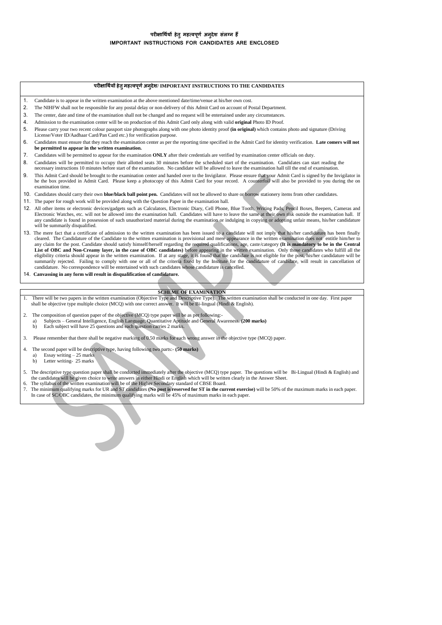### **िरीऺाथथडयों हेतुमहत्विणू ड अनदुेश संऱग्न हैं IMPORTANT INSTRUCTIONS FOR CANDIDATES ARE ENCLOSED**

#### **िरीऺाथथडयों हेतुमहत्विणू डअनदुेश/ IMPORTANT INSTRUCTIONS TO THE CANDIDATES**

- 1. Candidate is to appear in the written examination at the above mentioned date/time/venue at his/her own cost.
- 2. The NIHFW shall not be responsible for any postal delay or non-delivery of this Admit Card on account of Postal Department.
- 3. The center, date and time of the examination shall not be changed and no request will be entertained under any circumstances.
- 4. Admission to the examination center will be on production of this Admit Card only along with valid **original** Photo ID Proof.
- 5. Please carry your two recent colour passport size photographs along with one photo identity proof **(in original)** which contains photo and signature (Driving License/Voter ID/Aadhaar Card/Pan Card etc.) for verification purpose.
- 6. Candidates must ensure that they reach the examination center as per the reporting time specified in the Admit Card for identity verification. **Late comers will not be permitted to appear in the written examination.**
- 7. Candidates will be permitted to appear for the examination **ONLY** after their credentials are verified by examination center officials on duty.
- 8. Candidates will be permitted to occupy their allotted seats 30 minutes before the scheduled start of the examination. Candidates can start reading the necessary instructions 10 minutes before start of the examination. No candidate will be allowed to leave the examination hall till the end of examination.
- 9. This Admit Card should be brought to the examination center and handed over to the Invigilator. Please ensure that your Admit Card is signed by the Invigilator in he the box provided in Admit Card. Please keep a photocopy of this Admit Card for your record. A counterfoil will also be provided to you during the on examination time.
- 10. Candidates should carry their own **blue/black ball point pen.** Candidates will not be allowed to share or borrow stationery items from other candidates.
- 11. The paper for rough work will be provided along with the Question Paper in the examination hall.
- 12. All other items or electronic devices/gadgets such as Calculators, Electronic Diary, Cell Phone, Blue Tooth, Writing Pads, Pencil Boxes, Beepers, Cameras and Electronic Watches, etc. will not be allowed into the examination hall. Candidates will have to leave the same at their own risk outside the examination hall. If any candidate is found in possession of such unauthorized material during the examination or indulging in copying or adopting unfair means, his/her candidature will be summarily disqualified.
- 13. The mere fact that a certificate of admission to the written examination has been issued to a candidate will not imply that his/her candidature has been finally cleared. The Candidature of the Candidate to the written examination is provisional and mere appearance in the written examination does not entitle him/her to any claim for the post. Candidate should satisfy himself/hersel eligibility criteria should appear in the written examination. If at any stage, it is found that the candidate is not eligible for the post, his/her candidature will be summarily rejected. Failing to comply with one or all of the criteria fixed by the Institute for the candidature of candidate, will result in cancellation of candidature. No correspondence will be entertained with such can
- 14. **Canvassing in any form will result in disqualification of candidature.**

#### **SCHEME OF EXAMINATION**

- 1. There will be two papers in the written examination (Objective Type and Descriptive Type). The written examination shall be conducted in one day. First paper shall be objective type multiple choice (MCQ) with one correc
- 2. The composition of question paper of the objective (MCQ) type paper will be as per following: a) Subjects – General Intelligence, English Language, Quantitative Aptitude and General Awareness. **(200 marks)** b) Each subject will have 25 questions and each question carries 2 marks.
- 3. Please remember that there shall be negative marking of 0.50 marks for each wrong answer in the objective type (MCQ) paper.
- 4. The second paper will be descriptive type, having following two parts:- **(50 marks)**
- a) Essay writing 25 marks b) Letter writing- 25 marks
- 5. The descriptive type question paper shall be conducted immediately after the objective (MCQ) type paper. The questions will be Bi-Lingual (Hindi & English) and the candidates will be given choice to write answers in eit
- 6. The syllabus of the written examination will be of the Higher Secondary standard of CBSE Board.
- 7. The minimum qualifying marks for UR and ST candidates **(No post is reserved for ST in the current exercise)** will be 50% of the maximum marks in each paper. In case of SC/OBC candidates, the minimum qualifying marks will be 45% of maximum marks in each paper.